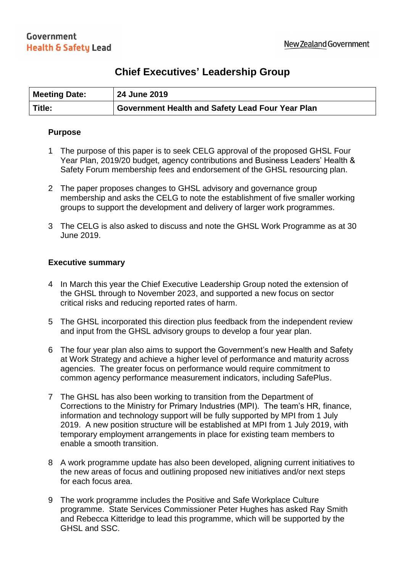# **Chief Executives' Leadership Group**

| <b>Meeting Date:</b> | 24 June 2019                                     |
|----------------------|--------------------------------------------------|
| Title:               | Government Health and Safety Lead Four Year Plan |

### **Purpose**

- 1 The purpose of this paper is to seek CELG approval of the proposed GHSL Four Year Plan, 2019/20 budget, agency contributions and Business Leaders' Health & Safety Forum membership fees and endorsement of the GHSL resourcing plan.
- 2 The paper proposes changes to GHSL advisory and governance group membership and asks the CELG to note the establishment of five smaller working groups to support the development and delivery of larger work programmes.
- 3 The CELG is also asked to discuss and note the GHSL Work Programme as at 30 June 2019.

## **Executive summary**

- 4 In March this year the Chief Executive Leadership Group noted the extension of the GHSL through to November 2023, and supported a new focus on sector critical risks and reducing reported rates of harm.
- 5 The GHSL incorporated this direction plus feedback from the independent review and input from the GHSL advisory groups to develop a four year plan.
- 6 The four year plan also aims to support the Government's new Health and Safety at Work Strategy and achieve a higher level of performance and maturity across agencies. The greater focus on performance would require commitment to common agency performance measurement indicators, including SafePlus.
- 7 The GHSL has also been working to transition from the Department of Corrections to the Ministry for Primary Industries (MPI). The team's HR, finance, information and technology support will be fully supported by MPI from 1 July 2019. A new position structure will be established at MPI from 1 July 2019, with temporary employment arrangements in place for existing team members to enable a smooth transition.
- 8 A work programme update has also been developed, aligning current initiatives to the new areas of focus and outlining proposed new initiatives and/or next steps for each focus area.
- 9 The work programme includes the Positive and Safe Workplace Culture programme. State Services Commissioner Peter Hughes has asked Ray Smith and Rebecca Kitteridge to lead this programme, which will be supported by the GHSL and SSC.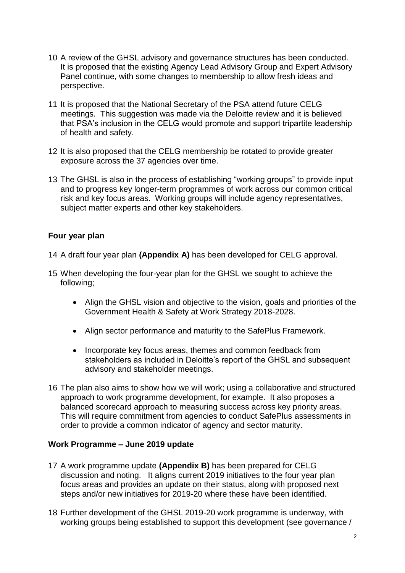- 10 A review of the GHSL advisory and governance structures has been conducted. It is proposed that the existing Agency Lead Advisory Group and Expert Advisory Panel continue, with some changes to membership to allow fresh ideas and perspective.
- 11 It is proposed that the National Secretary of the PSA attend future CELG meetings. This suggestion was made via the Deloitte review and it is believed that PSA's inclusion in the CELG would promote and support tripartite leadership of health and safety.
- 12 It is also proposed that the CELG membership be rotated to provide greater exposure across the 37 agencies over time.
- 13 The GHSL is also in the process of establishing "working groups" to provide input and to progress key longer-term programmes of work across our common critical risk and key focus areas. Working groups will include agency representatives, subject matter experts and other key stakeholders.

# **Four year plan**

- 14 A draft four year plan **(Appendix A)** has been developed for CELG approval.
- 15 When developing the four-year plan for the GHSL we sought to achieve the following;
	- Align the GHSL vision and objective to the vision, goals and priorities of the Government Health & Safety at Work Strategy 2018-2028.
	- Align sector performance and maturity to the SafePlus Framework.
	- Incorporate key focus areas, themes and common feedback from stakeholders as included in Deloitte's report of the GHSL and subsequent advisory and stakeholder meetings.
- 16 The plan also aims to show how we will work; using a collaborative and structured approach to work programme development, for example. It also proposes a balanced scorecard approach to measuring success across key priority areas. This will require commitment from agencies to conduct SafePlus assessments in order to provide a common indicator of agency and sector maturity.

# **Work Programme – June 2019 update**

- 17 A work programme update **(Appendix B)** has been prepared for CELG discussion and noting. It aligns current 2019 initiatives to the four year plan focus areas and provides an update on their status, along with proposed next steps and/or new initiatives for 2019-20 where these have been identified.
- 18 Further development of the GHSL 2019-20 work programme is underway, with working groups being established to support this development (see governance /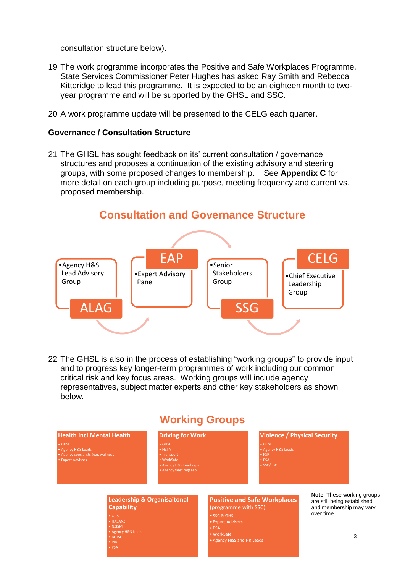consultation structure below).

- 19 The work programme incorporates the Positive and Safe Workplaces Programme*.* State Services Commissioner Peter Hughes has asked Ray Smith and Rebecca Kitteridge to lead this programme. It is expected to be an eighteen month to twoyear programme and will be supported by the GHSL and SSC.
- 20 A work programme update will be presented to the CELG each quarter.

### **Governance / Consultation Structure**

21 The GHSL has sought feedback on its' current consultation / governance structures and proposes a continuation of the existing advisory and steering groups, with some proposed changes to membership. See **Appendix C** for more detail on each group including purpose, meeting frequency and current vs. proposed membership.



22 The GHSL is also in the process of establishing "working groups" to provide input and to progress key longer-term programmes of work including our common critical risk and key focus areas. Working groups will include agency representatives, subject matter experts and other key stakeholders as shown below.

# **Working Groups**

# **Health incl.Mental Health**

• Agency H&S Leads • Agency specialists (e.g. wellness) • Expert Advisors

# • NZTA • WorkSafe

**Driving for Work**

### **Violence / Physical Security**

- GHSL
- Agency H&S Leads PSR
- PSA SSC/LDC

#### **Leadership & Organisaitonal Capability**

• Agency H&S Leads • BLHSF • IoD • PSA

#### **Positive and Safe Workplaces**  (programme with SSC) • SSC & GHSL • Expert Advisors • PSA • WorkSafe • Agency H&S and HR Leads

**Note**: These working groups are still being established and membership may vary over time.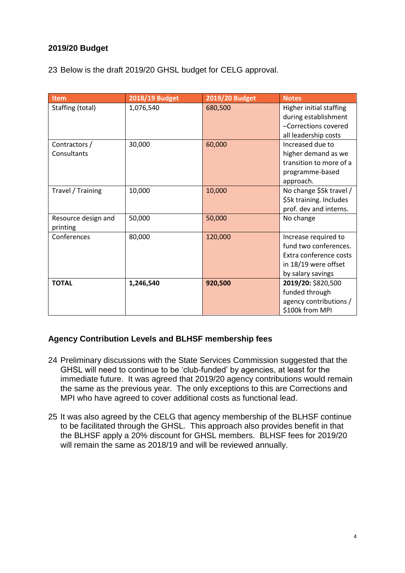# **2019/20 Budget**

23 Below is the draft 2019/20 GHSL budget for CELG approval.

| <b>Item</b>         | 2018/19 Budget | 2019/20 Budget | <b>Notes</b>            |  |
|---------------------|----------------|----------------|-------------------------|--|
| Staffing (total)    | 1,076,540      | 680,500        | Higher initial staffing |  |
|                     |                |                | during establishment    |  |
|                     |                |                | -Corrections covered    |  |
|                     |                |                | all leadership costs    |  |
| Contractors /       | 30,000         | 60,000         | Increased due to        |  |
| Consultants         |                |                | higher demand as we     |  |
|                     |                |                | transition to more of a |  |
|                     |                |                | programme-based         |  |
|                     |                |                | approach.               |  |
| Travel / Training   | 10,000         | 10,000         | No change \$5k travel / |  |
|                     |                |                | \$5k training. Includes |  |
|                     |                |                | prof. dev and interns.  |  |
| Resource design and | 50,000         | 50,000         | No change               |  |
| printing            |                |                |                         |  |
| Conferences         | 80,000         | 120,000        | Increase required to    |  |
|                     |                |                | fund two conferences.   |  |
|                     |                |                | Extra conference costs  |  |
|                     |                |                | in 18/19 were offset    |  |
|                     |                |                | by salary savings       |  |
| <b>TOTAL</b>        | 1,246,540      | 920,500        | 2019/20: \$820,500      |  |
|                     |                |                | funded through          |  |
|                     |                |                | agency contributions /  |  |
|                     |                |                | \$100k from MPI         |  |

# **Agency Contribution Levels and BLHSF membership fees**

- 24 Preliminary discussions with the State Services Commission suggested that the GHSL will need to continue to be 'club-funded' by agencies, at least for the immediate future. It was agreed that 2019/20 agency contributions would remain the same as the previous year. The only exceptions to this are Corrections and MPI who have agreed to cover additional costs as functional lead.
- 25 It was also agreed by the CELG that agency membership of the BLHSF continue to be facilitated through the GHSL. This approach also provides benefit in that the BLHSF apply a 20% discount for GHSL members. BLHSF fees for 2019/20 will remain the same as 2018/19 and will be reviewed annually.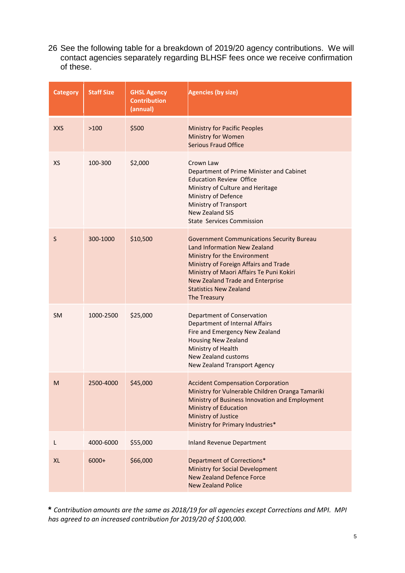26 See the following table for a breakdown of 2019/20 agency contributions. We will contact agencies separately regarding BLHSF fees once we receive confirmation of these.

| <b>Category</b> | <b>Staff Size</b> | <b>GHSL Agency</b><br><b>Contribution</b><br>(annual) | <b>Agencies (by size)</b>                                                                                                                                                                                                                                                                         |
|-----------------|-------------------|-------------------------------------------------------|---------------------------------------------------------------------------------------------------------------------------------------------------------------------------------------------------------------------------------------------------------------------------------------------------|
| <b>XXS</b>      | >100              | \$500                                                 | <b>Ministry for Pacific Peoples</b><br>Ministry for Women<br><b>Serious Fraud Office</b>                                                                                                                                                                                                          |
| <b>XS</b>       | 100-300           | \$2,000                                               | Crown Law<br>Department of Prime Minister and Cabinet<br><b>Education Review Office</b><br>Ministry of Culture and Heritage<br>Ministry of Defence<br><b>Ministry of Transport</b><br><b>New Zealand SIS</b><br><b>State Services Commission</b>                                                  |
| S               | 300-1000          | \$10,500                                              | <b>Government Communications Security Bureau</b><br>Land Information New Zealand<br>Ministry for the Environment<br>Ministry of Foreign Affairs and Trade<br>Ministry of Maori Affairs Te Puni Kokiri<br><b>New Zealand Trade and Enterprise</b><br><b>Statistics New Zealand</b><br>The Treasury |
| <b>SM</b>       | 1000-2500         | \$25,000                                              | Department of Conservation<br>Department of Internal Affairs<br>Fire and Emergency New Zealand<br><b>Housing New Zealand</b><br>Ministry of Health<br><b>New Zealand customs</b><br>New Zealand Transport Agency                                                                                  |
| M               | 2500-4000         | \$45,000                                              | <b>Accident Compensation Corporation</b><br>Ministry for Vulnerable Children Oranga Tamariki<br>Ministry of Business Innovation and Employment<br><b>Ministry of Education</b><br>Ministry of Justice<br>Ministry for Primary Industries*                                                         |
| L               | 4000-6000         | \$55,000                                              | <b>Inland Revenue Department</b>                                                                                                                                                                                                                                                                  |
| <b>XL</b>       | 6000+             | \$66,000                                              | Department of Corrections*<br>Ministry for Social Development<br><b>New Zealand Defence Force</b><br><b>New Zealand Police</b>                                                                                                                                                                    |

**\*** *Contribution amounts are the same as 2018/19 for all agencies except Corrections and MPI. MPI has agreed to an increased contribution for 2019/20 of \$100,000.*